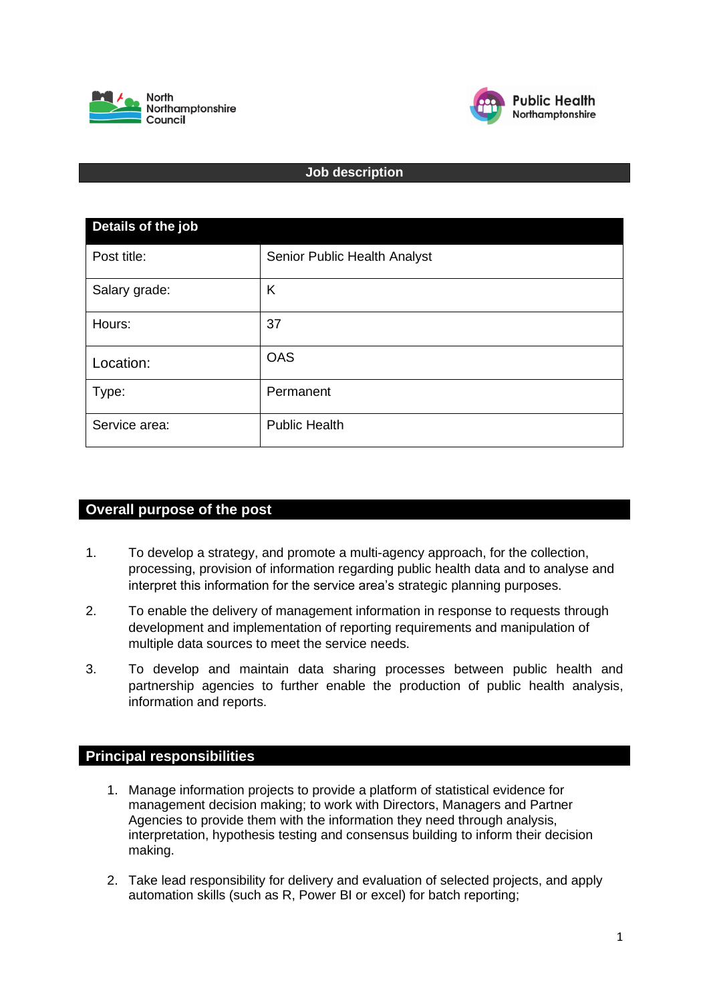



## **Job description**

| Details of the job |                              |  |
|--------------------|------------------------------|--|
| Post title:        | Senior Public Health Analyst |  |
| Salary grade:      | K                            |  |
| Hours:             | 37                           |  |
| Location:          | <b>OAS</b>                   |  |
| Type:              | Permanent                    |  |
| Service area:      | <b>Public Health</b>         |  |

## **Overall purpose of the post**

- 1. To develop a strategy, and promote a multi-agency approach, for the collection, processing, provision of information regarding public health data and to analyse and interpret this information for the service area's strategic planning purposes.
- 2. To enable the delivery of management information in response to requests through development and implementation of reporting requirements and manipulation of multiple data sources to meet the service needs.
- 3. To develop and maintain data sharing processes between public health and partnership agencies to further enable the production of public health analysis, information and reports.

## **Principal responsibilities**

- 1. Manage information projects to provide a platform of statistical evidence for management decision making; to work with Directors, Managers and Partner Agencies to provide them with the information they need through analysis, interpretation, hypothesis testing and consensus building to inform their decision making.
- 2. Take lead responsibility for delivery and evaluation of selected projects, and apply automation skills (such as R, Power BI or excel) for batch reporting;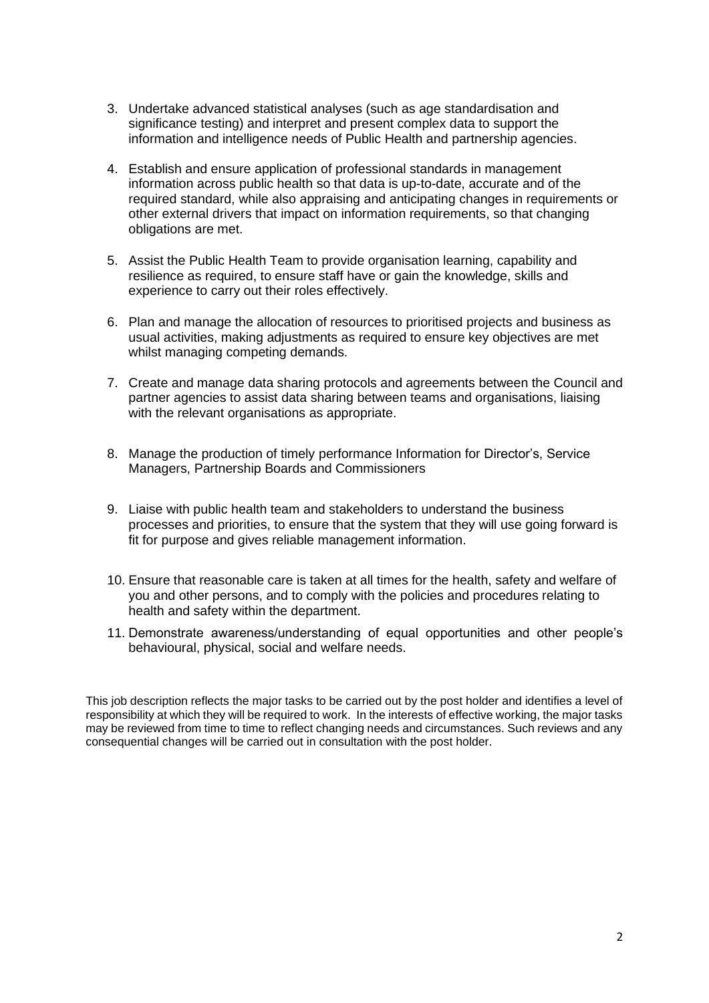- 3. Undertake advanced statistical analyses (such as age standardisation and significance testing) and interpret and present complex data to support the information and intelligence needs of Public Health and partnership agencies.
- 4. Establish and ensure application of professional standards in management information across public health so that data is up-to-date, accurate and of the required standard, while also appraising and anticipating changes in requirements or other external drivers that impact on information requirements, so that changing obligations are met.
- 5. Assist the Public Health Team to provide organisation learning, capability and resilience as required, to ensure staff have or gain the knowledge, skills and experience to carry out their roles effectively.
- 6. Plan and manage the allocation of resources to prioritised projects and business as usual activities, making adjustments as required to ensure key objectives are met whilst managing competing demands.
- 7. Create and manage data sharing protocols and agreements between the Council and partner agencies to assist data sharing between teams and organisations, liaising with the relevant organisations as appropriate.
- 8. Manage the production of timely performance Information for Director's, Service Managers, Partnership Boards and Commissioners
- 9. Liaise with public health team and stakeholders to understand the business processes and priorities, to ensure that the system that they will use going forward is fit for purpose and gives reliable management information.
- 10. Ensure that reasonable care is taken at all times for the health, safety and welfare of you and other persons, and to comply with the policies and procedures relating to health and safety within the department.
- 11. Demonstrate awareness/understanding of equal opportunities and other people's behavioural, physical, social and welfare needs.

This job description reflects the major tasks to be carried out by the post holder and identifies a level of responsibility at which they will be required to work. In the interests of effective working, the major tasks may be reviewed from time to time to reflect changing needs and circumstances. Such reviews and any consequential changes will be carried out in consultation with the post holder.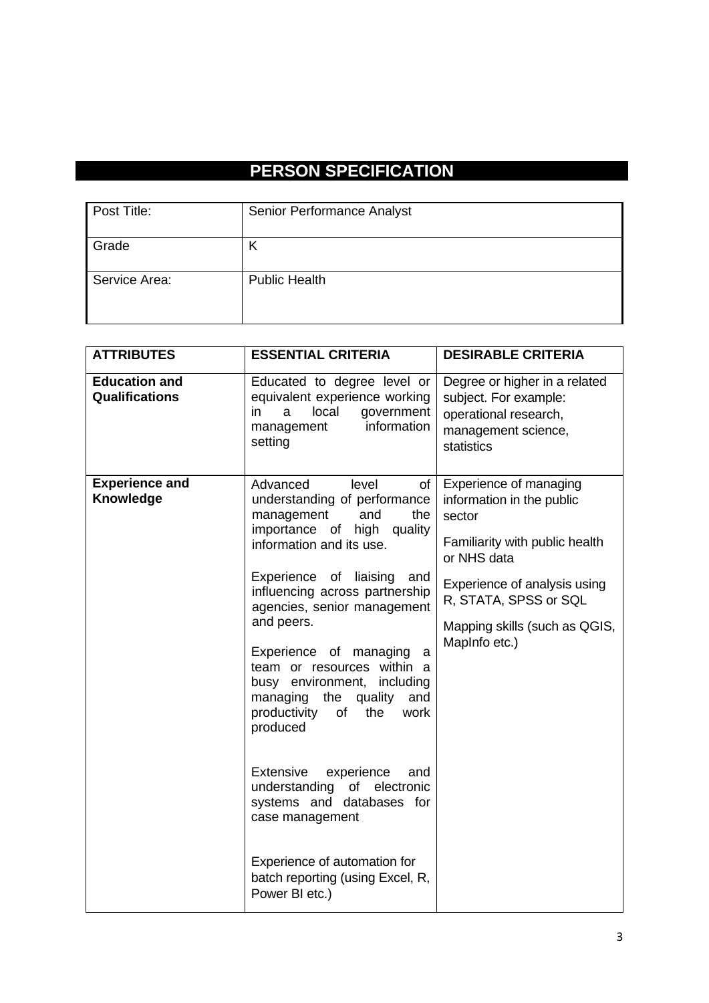## **PERSON SPECIFICATION**

| Post Title:   | Senior Performance Analyst |
|---------------|----------------------------|
| Grade         |                            |
| Service Area: | <b>Public Health</b>       |

| <b>ATTRIBUTES</b>                      | <b>ESSENTIAL CRITERIA</b>                                                                                                                                                                                                                                                                                                                                                                                                                                                                                                                                                                                                                                           | <b>DESIRABLE CRITERIA</b>                                                                                                                                                                                                 |
|----------------------------------------|---------------------------------------------------------------------------------------------------------------------------------------------------------------------------------------------------------------------------------------------------------------------------------------------------------------------------------------------------------------------------------------------------------------------------------------------------------------------------------------------------------------------------------------------------------------------------------------------------------------------------------------------------------------------|---------------------------------------------------------------------------------------------------------------------------------------------------------------------------------------------------------------------------|
| <b>Education and</b><br>Qualifications | Educated to degree level or<br>equivalent experience working<br>local<br>government<br>in<br>a<br>information<br>management<br>setting                                                                                                                                                                                                                                                                                                                                                                                                                                                                                                                              | Degree or higher in a related<br>subject. For example:<br>operational research,<br>management science,<br>statistics                                                                                                      |
| <b>Experience and</b><br>Knowledge     | level<br>of<br>Advanced<br>understanding of performance<br>and<br>management<br>the<br>high quality<br>importance of<br>information and its use.<br>Experience<br>of<br>liaising<br>and<br>influencing across partnership<br>agencies, senior management<br>and peers.<br>Experience of managing<br>a<br>team or resources within a<br>busy environment, including<br>managing the<br>quality<br>and<br>productivity<br>of<br>the<br>work<br>produced<br><b>Extensive</b><br>experience<br>and<br>understanding of electronic<br>systems and databases for<br>case management<br>Experience of automation for<br>batch reporting (using Excel, R,<br>Power BI etc.) | Experience of managing<br>information in the public<br>sector<br>Familiarity with public health<br>or NHS data<br>Experience of analysis using<br>R, STATA, SPSS or SQL<br>Mapping skills (such as QGIS,<br>MapInfo etc.) |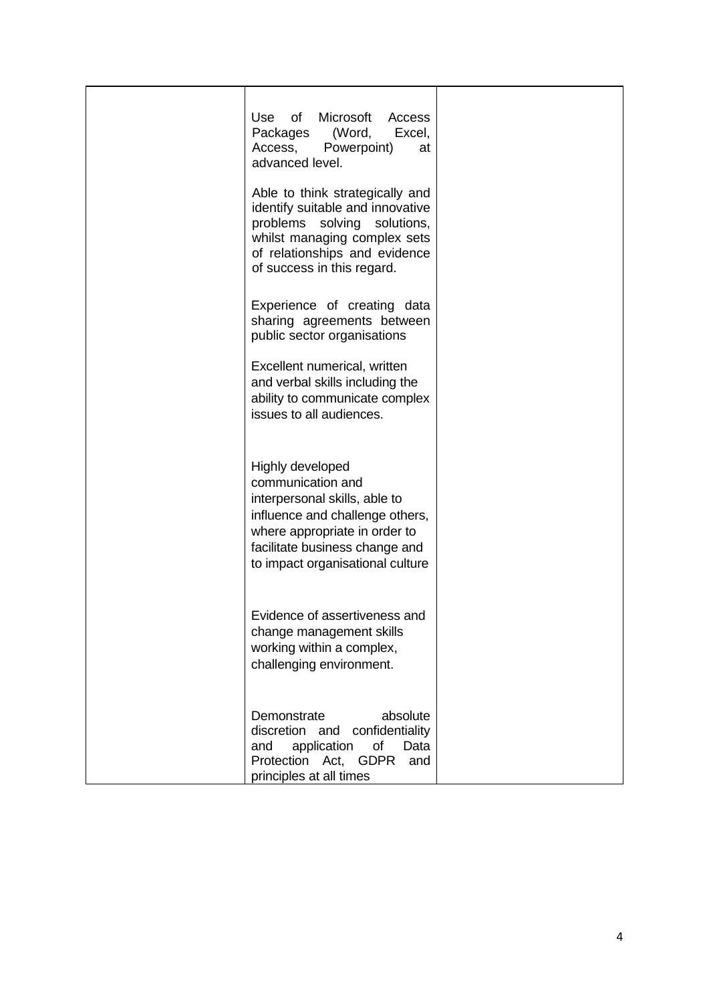| Microsoft<br>Use<br>of<br>Access                                                                                                                                                                                 |  |
|------------------------------------------------------------------------------------------------------------------------------------------------------------------------------------------------------------------|--|
| Packages (Word,<br>Excel,<br>Powerpoint)<br>Access,<br>at<br>advanced level.                                                                                                                                     |  |
| Able to think strategically and<br>identify suitable and innovative<br>problems<br>solving<br>solutions,<br>whilst managing complex sets<br>of relationships and evidence<br>of success in this regard.          |  |
| Experience of creating data<br>sharing agreements between<br>public sector organisations                                                                                                                         |  |
| Excellent numerical, written<br>and verbal skills including the<br>ability to communicate complex<br>issues to all audiences.                                                                                    |  |
| Highly developed<br>communication and<br>interpersonal skills, able to<br>influence and challenge others,<br>where appropriate in order to<br>facilitate business change and<br>to impact organisational culture |  |
| Evidence of assertiveness and<br>change management skills<br>working within a complex,<br>challenging environment.                                                                                               |  |
| Demonstrate<br>absolute<br>discretion and<br>confidentiality<br>application<br>of<br>Data<br>and<br><b>GDPR</b><br>Protection Act,<br>and<br>principles at all times                                             |  |